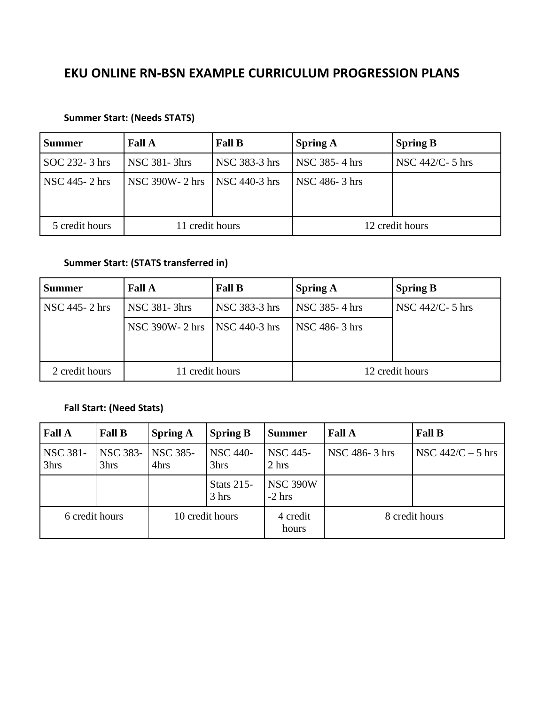# **EKU ONLINE RN-BSN EXAMPLE CURRICULUM PROGRESSION PLANS**

#### **Summer Start: (Needs STATS)**

| <b>Summer</b>  | <b>Fall A</b>         | <b>Fall B</b>   | <b>Spring A</b> | <b>Spring B</b>    |
|----------------|-----------------------|-----------------|-----------------|--------------------|
| SOC 232-3 hrs  | <b>NSC 381-3hrs</b>   | NSC 383-3 hrs   | NSC 385-4 hrs   | $NSC$ 442/C- 5 hrs |
| NSC 445-2 hrs  | <b>NSC 390W-2 hrs</b> | $NSC$ 440-3 hrs | NSC 486-3 hrs   |                    |
| 5 credit hours | credit hours          |                 | 12 credit hours |                    |

### **Summer Start: (STATS transferred in)**

| <b>Summer</b>  | <b>Fall A</b>       | <b>Fall B</b>   | <b>Spring A</b>      | <b>Spring B</b>     |
|----------------|---------------------|-----------------|----------------------|---------------------|
| NSC 445-2 hrs  | <b>NSC 381-3hrs</b> | NSC 383-3 hrs   | <b>NSC</b> 385-4 hrs | NSC $442/C - 5$ hrs |
|                | NSC 390W- 2 hrs     | $NSC$ 440-3 hrs | NSC 486-3 hrs        |                     |
|                |                     |                 |                      |                     |
| 2 credit hours | 11 credit hours     |                 | 12 credit hours      |                     |

### **Fall Start: (Need Stats)**

| <b>Fall A</b>           | <b>Fall B</b>    | <b>Spring A</b>         | <b>Spring B</b>            | <b>Summer</b>               | <b>Fall A</b>  | <b>Fall B</b>       |
|-------------------------|------------------|-------------------------|----------------------------|-----------------------------|----------------|---------------------|
| <b>NSC 381-</b><br>3hrs | NSC 383-<br>3hrs | <b>NSC 385-</b><br>4hrs | <b>NSC 440-</b><br>3hrs    | <b>NSC 445-</b><br>2 hrs    | NSC 486-3 hrs  | NSC $442/C - 5$ hrs |
|                         |                  |                         | <b>Stats 215-</b><br>3 hrs | <b>NSC 390W</b><br>$-2$ hrs |                |                     |
| 6 credit hours          |                  | 10 credit hours         |                            | 4 credit<br>hours           | 8 credit hours |                     |